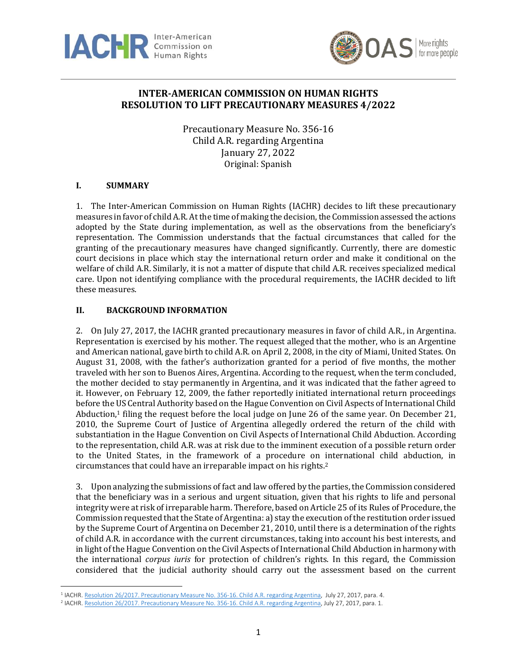



# **INTER-AMERICAN COMMISSION ON HUMAN RIGHTS RESOLUTION TO LIFT PRECAUTIONARY MEASURES 4/2022**

Precautionary Measure No. 356-16 Child A.R. regarding Argentina January 27, 2022 Original: Spanish

## **I. SUMMARY**

1. The Inter-American Commission on Human Rights (IACHR) decides to lift these precautionary measures in favor of child A.R. At the time of making the decision, the Commission assessed the actions adopted by the State during implementation, as well as the observations from the beneficiary's representation. The Commission understands that the factual circumstances that called for the granting of the precautionary measures have changed significantly. Currently, there are domestic court decisions in place which stay the international return order and make it conditional on the welfare of child A.R. Similarly, it is not a matter of dispute that child A.R. receives specialized medical care. Upon not identifying compliance with the procedural requirements, the IACHR decided to lift these measures.

#### **II. BACKGROUND INFORMATION**

2. On July 27, 2017, the IACHR granted precautionary measures in favor of child A.R., in Argentina. Representation is exercised by his mother. The request alleged that the mother, who is an Argentine and American national, gave birth to child A.R. on April 2, 2008, in the city of Miami, United States. On August 31, 2008, with the father's authorization granted for a period of five months, the mother traveled with her son to Buenos Aires, Argentina. According to the request, when the term concluded, the mother decided to stay permanently in Argentina, and it was indicated that the father agreed to it. However, on February 12, 2009, the father reportedly initiated international return proceedings before the US Central Authority based on the Hague Convention on Civil Aspects of International Child Abduction, <sup>1</sup> filing the request before the local judge on June 26 of the same year. On December 21, 2010, the Supreme Court of Justice of Argentina allegedly ordered the return of the child with substantiation in the Hague Convention on Civil Aspects of International Child Abduction. According to the representation, child A.R. was at risk due to the imminent execution of a possible return order to the United States, in the framework of a procedure on international child abduction, in circumstances that could have an irreparable impact on his rights. 2

3. Upon analyzing the submissions of fact and law offered by the parties, the Commission considered that the beneficiary was in a serious and urgent situation, given that his rights to life and personal integrity were at risk of irreparable harm. Therefore, based on Article 25 of its Rules of Procedure, the Commission requested thatthe State of Argentina: a) stay the execution of the restitution order issued by the Supreme Court of Argentina on December 21, 2010, until there is a determination of the rights of child A.R. in accordance with the current circumstances, taking into account his best interests, and in light of the Hague Convention on the Civil Aspects of International Child Abduction in harmony with the international *corpus iuris* for protection of children's rights. In this regard, the Commission considered that the judicial authority should carry out the assessment based on the current

<sup>&</sup>lt;sup>1</sup> IACHR. Resolution 26/2017. [Precautionary](https://www.oas.org/es/cidh/decisiones/pdf/2017/26-17mc356-16-ar.pdf) Measure No. 356-16. Child A.R. regarding Argentina, July 27, 2017, para. 4.

<sup>2</sup> IACHR. Resolution 26/2017. [Precautionary](https://www.oas.org/es/cidh/decisiones/pdf/2017/26-17mc356-16-ar.pdf) Measure No. 356-16. Child A.R. regarding Argentina, July 27, 2017, para. 1.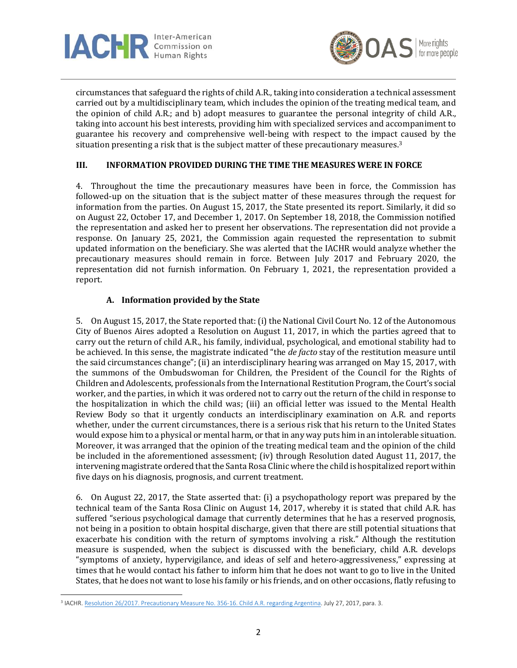



circumstances that safeguard the rights of child A.R., taking into consideration a technical assessment carried out by a multidisciplinary team, which includes the opinion of the treating medical team, and the opinion of child A.R.; and b) adopt measures to guarantee the personal integrity of child A.R., taking into account his best interests, providing him with specialized services and accompaniment to guarantee his recovery and comprehensive well-being with respect to the impact caused by the situation presenting a risk that is the subject matter of these precautionary measures. 3

## **III. INFORMATION PROVIDED DURING THE TIME THE MEASURES WERE IN FORCE**

4. Throughout the time the precautionary measures have been in force, the Commission has followed-up on the situation that is the subject matter of these measures through the request for information from the parties. On August 15, 2017, the State presented its report. Similarly, it did so on August 22, October 17, and December 1, 2017. On September 18, 2018, the Commission notified the representation and asked her to present her observations. The representation did not provide a response. On January 25, 2021, the Commission again requested the representation to submit updated information on the beneficiary. She was alerted that the IACHR would analyze whether the precautionary measures should remain in force. Between July 2017 and February 2020, the representation did not furnish information. On February 1, 2021, the representation provided a report.

#### **A. Information provided by the State**

5. On August 15, 2017, the State reported that: (i) the National Civil Court No. 12 of the Autonomous City of Buenos Aires adopted a Resolution on August 11, 2017, in which the parties agreed that to carry out the return of child A.R., his family, individual, psychological, and emotional stability had to be achieved. In this sense, the magistrate indicated "the *de facto* stay of the restitution measure until the said circumstances change"; (ii) an interdisciplinary hearing was arranged on May 15, 2017, with the summons of the Ombudswoman for Children, the President of the Council for the Rights of Children and Adolescents, professionals from the International Restitution Program, the Court's social worker, and the parties, in which it was ordered not to carry out the return of the child in response to the hospitalization in which the child was; (iii) an official letter was issued to the Mental Health Review Body so that it urgently conducts an interdisciplinary examination on A.R. and reports whether, under the current circumstances, there is a serious risk that his return to the United States would expose him to a physical or mental harm, or that in any way puts him in an intolerable situation. Moreover, it was arranged that the opinion of the treating medical team and the opinion of the child be included in the aforementioned assessment; (iv) through Resolution dated August 11, 2017, the intervening magistrate ordered that the Santa Rosa Clinic where the child is hospitalized report within five days on his diagnosis, prognosis, and current treatment.

6. On August 22, 2017, the State asserted that: (i) a psychopathology report was prepared by the technical team of the Santa Rosa Clinic on August 14, 2017, whereby it is stated that child A.R. has suffered "serious psychological damage that currently determines that he has a reserved prognosis, not being in a position to obtain hospital discharge, given that there are still potential situations that exacerbate his condition with the return of symptoms involving a risk." Although the restitution measure is suspended, when the subject is discussed with the beneficiary, child A.R. develops "symptoms of anxiety, hypervigilance, and ideas of self and hetero-aggressiveness," expressing at times that he would contact his father to inform him that he does not want to go to live in the United States, that he does not want to lose his family or his friends, and on other occasions, flatly refusing to

<sup>&</sup>lt;sup>3</sup> IACHR. <u>Resolution 26/2017. [Precautionary](https://www.oas.org/es/cidh/decisiones/pdf/2017/26-17mc356-16-ar.pdf) Measure No. 356-16. Child A.R. regarding Argentina. July 2<mark>7, 2017, para.</mark> 3.</u>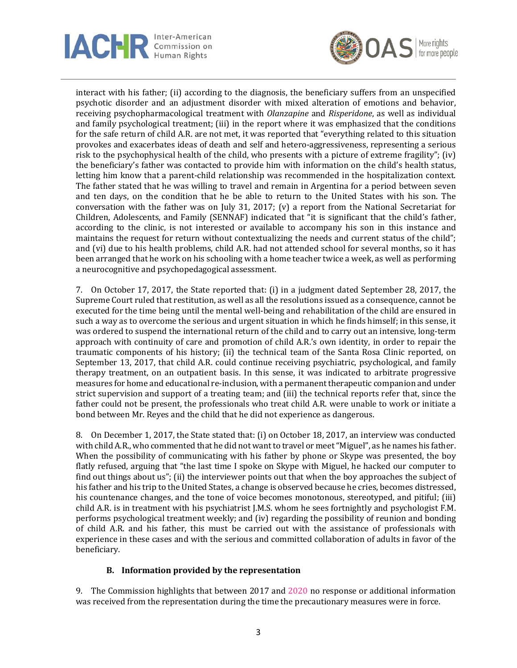



interact with his father; (ii) according to the diagnosis, the beneficiary suffers from an unspecified psychotic disorder and an adjustment disorder with mixed alteration of emotions and behavior, receiving psychopharmacological treatment with *Olanzapine* and *Risperidone*, as well as individual and family psychological treatment; (iii) in the report where it was emphasized that the conditions for the safe return of child A.R. are not met, it was reported that "everything related to this situation provokes and exacerbates ideas of death and self and hetero-aggressiveness, representing a serious risk to the psychophysical health of the child, who presents with a picture of extreme fragility"; (iv) the beneficiary's father was contacted to provide him with information on the child's health status, letting him know that a parent-child relationship was recommended in the hospitalization context. The father stated that he was willing to travel and remain in Argentina for a period between seven and ten days, on the condition that he be able to return to the United States with his son. The conversation with the father was on July 31, 2017; (v) a report from the National Secretariat for Children, Adolescents, and Family (SENNAF) indicated that "it is significant that the child's father, according to the clinic, is not interested or available to accompany his son in this instance and maintains the request for return without contextualizing the needs and current status of the child"; and (vi) due to his health problems, child A.R. had not attended school for several months, so it has been arranged that he work on his schooling with a home teacher twice a week, as well as performing a neurocognitive and psychopedagogical assessment.

7. On October 17, 2017, the State reported that: (i) in a judgment dated September 28, 2017, the Supreme Court ruled that restitution, as well as all the resolutions issued as a consequence, cannot be executed for the time being until the mental well-being and rehabilitation of the child are ensured in such a way as to overcome the serious and urgent situation in which he finds himself; in this sense, it was ordered to suspend the international return of the child and to carry out an intensive, long-term approach with continuity of care and promotion of child A.R.'s own identity, in order to repair the traumatic components of his history; (ii) the technical team of the Santa Rosa Clinic reported, on September 13, 2017, that child A.R. could continue receiving psychiatric, psychological, and family therapy treatment, on an outpatient basis. In this sense, it was indicated to arbitrate progressive measures for home and educational re-inclusion, with a permanent therapeutic companion and under strict supervision and support of a treating team; and (iii) the technical reports refer that, since the father could not be present, the professionals who treat child A.R. were unable to work or initiate a bond between Mr. Reyes and the child that he did not experience as dangerous.

8. On December 1, 2017, the State stated that: (i) on October 18, 2017, an interview was conducted with child A.R., who commented that he did not want to travel or meet "Miguel", as he names his father. When the possibility of communicating with his father by phone or Skype was presented, the boy flatly refused, arguing that "the last time I spoke on Skype with Miguel, he hacked our computer to find out things about us"; (ii) the interviewer points out that when the boy approaches the subject of his father and his trip to the United States, a change is observed because he cries, becomes distressed, his countenance changes, and the tone of voice becomes monotonous, stereotyped, and pitiful; (iii) child A.R. is in treatment with his psychiatrist J.M.S. whom he sees fortnightly and psychologist F.M. performs psychological treatment weekly; and (iv) regarding the possibility of reunion and bonding of child A.R. and his father, this must be carried out with the assistance of professionals with experience in these cases and with the serious and committed collaboration of adults in favor of the beneficiary.

#### **B. Information provided by the representation**

9. The Commission highlights that between 2017 and 2020 no response or additional information was received from the representation during the time the precautionary measures were in force.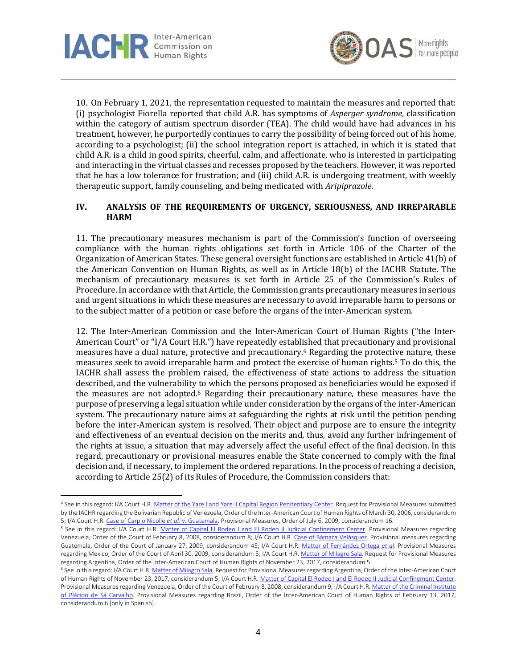



10. On February 1, 2021, the representation requested to maintain the measures and reported that: (i) psychologist Fiorella reported that child A.R. has symptoms of *Asperger syndrome*, classification within the category of autism spectrum disorder (TEA). The child would have had advances in his treatment, however, he purportedly continues to carry the possibility of being forced out of his home, according to a psychologist; (ii) the school integration report is attached, in which it is stated that child A.R. is a child in good spirits, cheerful, calm, and affectionate, who is interested in participating and interacting in the virtual classes and recesses proposed by the teachers. However, it was reported that he has a low tolerance for frustration; and (iii) child A.R. is undergoing treatment, with weekly therapeutic support, family counseling, and being medicated with *Aripiprazole*.

#### **IV. ANALYSIS OF THE REQUIREMENTS OF URGENCY, SERIOUSNESS, AND IRREPARABLE HARM**

11. The precautionary measures mechanism is part of the Commission's function of overseeing compliance with the human rights obligations set forth in Article 106 of the Charter of the Organization of American States. These general oversight functions are established in Article 41(b) of the American Convention on Human Rights, as well as in Article 18(b) of the IACHR Statute. The mechanism of precautionary measures is set forth in Article 25 of the Commission's Rules of Procedure. In accordance with that Article, the Commission grants precautionary measures in serious and urgent situations in which these measures are necessary to avoid irreparable harm to persons or to the subject matter of a petition or case before the organs of the inter-American system.

12. The Inter-American Commission and the Inter-American Court of Human Rights ("the Inter-American Court" or "I/A Court H.R.") have repeatedly established that precautionary and provisional measures have a dual nature, protective and precautionary.<sup>4</sup> Regarding the protective nature, these measures seek to avoid irreparable harm and protect the exercise of human rights.<sup>5</sup> To do this, the IACHR shall assess the problem raised, the effectiveness of state actions to address the situation described, and the vulnerability to which the persons proposed as beneficiaries would be exposed if the measures are not adopted.<sup>6</sup> Regarding their precautionary nature, these measures have the purpose of preserving a legal situation while under consideration by the organs of the inter-American system. The precautionary nature aims at safeguarding the rights at risk until the petition pending before the inter-American system is resolved. Their object and purpose are to ensure the integrity and effectiveness of an eventual decision on the merits and, thus, avoid any further infringement of the rights at issue, a situation that may adversely affect the useful effect of the final decision. In this regard, precautionary or provisional measures enable the State concerned to comply with the final decision and, if necessary, to implement the ordered reparations. In the process of reaching a decision, according to Article 25(2) of its Rules of Procedure, the Commission considers that:

<sup>4</sup> See in this regard: I/A Court H.R. Matter of the Yare I and Yare II Capital Region [Penitentiary](https://www.corteidh.or.cr/docs/medidas/penitenciarioregion_se_01.pdf) Center. Request for Provisional Measures submitted by the IACHR regarding the Bolivarian Republic of Venezuela, Order of the Inter-American Court of Human Rights of March 30, 2006, considerandum 5; I/A Court H.R. Case of Carpio Nicolle *et al*. v. [Guatemala.](https://www.corteidh.or.cr/docs/medidas/carpio_se_14.pdf) Provisional Measures, Order of July 6, 2009, considerandum 16.

<sup>&</sup>lt;sup>5</sup> See in this regard: I/A Court H.R. Matter of Capital El Rodeo I and El Rodeo II Judicial [Confinement](https://www.corteidh.or.cr/docs/medidas/rodeo_se_01.pdf) Center. Provisional Measures regarding Venezuela, Order of the Court of February 8, 2008, considerandum 8; I/A Court H.R. Case of Bámaca [Velásquez.](https://www.corteidh.or.cr/docs/medidas/bamaca_se_11.pdf) Provisional measures regarding Guatemala, Order of the Court of January 27, 2009, considerandum 45; I/A Court H.R. Matter of [Fernández](https://www.corteidh.or.cr/docs/medidas/fernandez_se_02.pdf) Ortega *et al*. Provisional Measures regarding Mexico, Order of the Court of April 30, 2009, considerandum 5; I/A Court H.R. Matter of [Milagro](https://www.corteidh.or.cr/docs/medidas/sala_se_01.pdf) Sala. Request for Provisional Measures regarding Argentina, Order of the Inter-American Court of Human Rights of November 23, 2017, considerandum 5.

<sup>6</sup> See in this regard: I/A Court H.R. Matter of [Milagro](https://www.corteidh.or.cr/docs/medidas/sala_se_01.pdf) Sala. Request for Provisional Measures regarding Argentina, Order of the Inter-American Court of Human Rights of November 23, 2017, considerandum 5; I/A Court H.R. Matter of Capital El Rodeo I and El Rodeo II Judicial [Confinement](https://www.corteidh.or.cr/docs/medidas/rodeo_se_01.pdf) Center. Provisional Measures regarding Venezuela, Order of the Court of February 8, 2008, considerandum 9; I/A Court H.R. Matter of the Criminal [Institute](https://www.corteidh.or.cr/docs/medidas/placido_se_01.pdf) of Plácido de Sá [Carvalho.](https://www.corteidh.or.cr/docs/medidas/placido_se_01.pdf) Provisional Measures regarding Brazil, Order of the Inter-American Court of Human Rights of February 13, 2017, considerandum 6 [only in Spanish].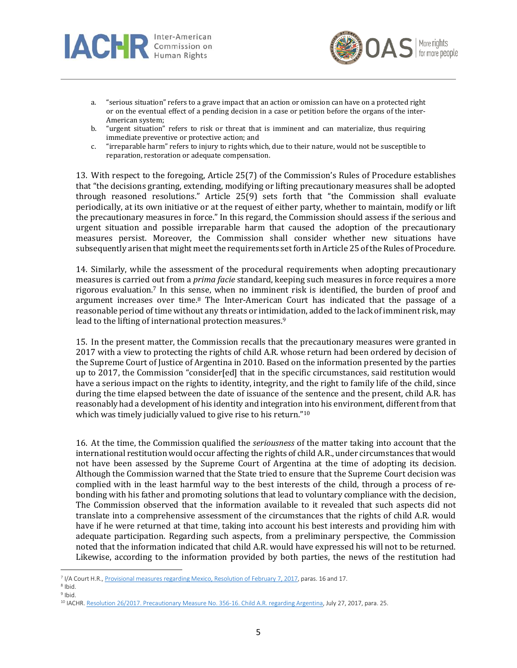



- a. "serious situation" refers to a grave impact that an action or omission can have on a protected right or on the eventual effect of a pending decision in a case or petition before the organs of the inter-American system;
- b. "urgent situation" refers to risk or threat that is imminent and can materialize, thus requiring immediate preventive or protective action; and
- c. "irreparable harm" refers to injury to rights which, due to their nature, would not be susceptible to reparation, restoration or adequate compensation.

13. With respect to the foregoing, Article 25(7) of the Commission's Rules of Procedure establishes that "the decisions granting, extending, modifying or lifting precautionary measures shall be adopted through reasoned resolutions." Article 25(9) sets forth that "the Commission shall evaluate periodically, at its own initiative or at the request of either party, whether to maintain, modify or lift the precautionary measures in force." In this regard, the Commission should assess if the serious and urgent situation and possible irreparable harm that caused the adoption of the precautionary measures persist. Moreover, the Commission shall consider whether new situations have subsequently arisen that might meet the requirements set forth in Article 25 of the Rules of Procedure.

14. Similarly, while the assessment of the procedural requirements when adopting precautionary measures is carried out from a *prima facie* standard, keeping such measures in force requires a more rigorous evaluation.<sup>7</sup> In this sense, when no imminent risk is identified, the burden of proof and argument increases over time.<sup>8</sup> The Inter-American Court has indicated that the passage of a reasonable period of time without any threats or intimidation, added to the lack of imminent risk, may lead to the lifting of international protection measures.<sup>9</sup>

15. In the present matter, the Commission recalls that the precautionary measures were granted in 2017 with a view to protecting the rights of child A.R. whose return had been ordered by decision of the Supreme Court of Justice of Argentina in 2010. Based on the information presented by the parties up to 2017, the Commission "consider[ed] that in the specific circumstances, said restitution would have a serious impact on the rights to identity, integrity, and the right to family life of the child, since during the time elapsed between the date of issuance of the sentence and the present, child A.R. has reasonably had a development of his identity and integration into his environment, differentfrom that which was timely judicially valued to give rise to his return." 10

16. At the time, the Commission qualified the *seriousness* of the matter taking into account that the international restitution would occur affecting the rights of child A.R., under circumstances that would not have been assessed by the Supreme Court of Argentina at the time of adopting its decision. Although the Commission warned that the State tried to ensure that the Supreme Court decision was complied with in the least harmful way to the best interests of the child, through a process of rebonding with his father and promoting solutions that lead to voluntary compliance with the decision, The Commission observed that the information available to it revealed that such aspects did not translate into a comprehensive assessment of the circumstances that the rights of child A.R. would have if he were returned at that time, taking into account his best interests and providing him with adequate participation. Regarding such aspects, from a preliminary perspective, the Commission noted that the information indicated that child A.R. would have expressed his will not to be returned. Likewise, according to the information provided by both parties, the news of the restitution had

<sup>7</sup> I/A Court H.R., [Provisional](https://www.corteidh.or.cr/docs/medidas/fernandez_se_08.pdf) measures regarding Mexico, Resolution of February 7, 2017, paras. 16 and 17.

<sup>8</sup> Ibid.

<sup>&</sup>lt;sup>9</sup> Ibid.

<sup>10</sup> IACHR. Resolution 26/2017. [Precautionary](https://www.oas.org/es/cidh/decisiones/pdf/2017/26-17mc356-16-ar.pdf) Measure No. 356-16. Child A.R. regarding Argentina, July 27, 2017, para. 25.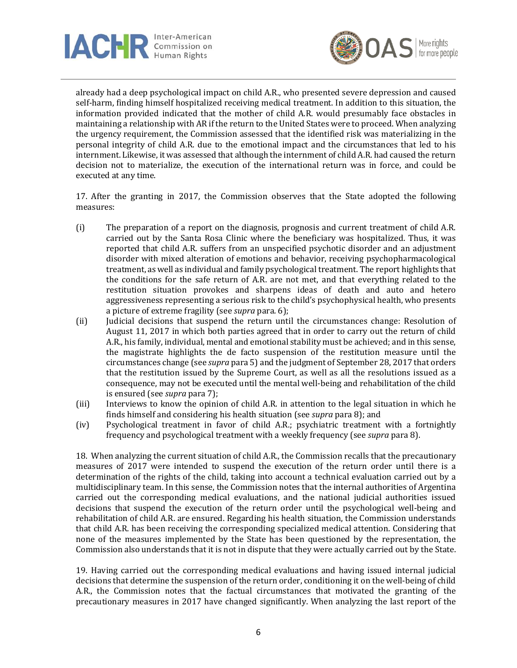



already had a deep psychological impact on child A.R., who presented severe depression and caused self-harm, finding himself hospitalized receiving medical treatment. In addition to this situation, the information provided indicated that the mother of child A.R. would presumably face obstacles in maintaining a relationship with AR if the return to the United States were to proceed. When analyzing the urgency requirement, the Commission assessed that the identified risk was materializing in the personal integrity of child A.R. due to the emotional impact and the circumstances that led to his internment. Likewise, it was assessed that although the internment of child A.R. had caused the return decision not to materialize, the execution of the international return was in force, and could be executed at any time.

17. After the granting in 2017, the Commission observes that the State adopted the following measures:

- (i) The preparation of a report on the diagnosis, prognosis and current treatment of child A.R. carried out by the Santa Rosa Clinic where the beneficiary was hospitalized. Thus, it was reported that child A.R. suffers from an unspecified psychotic disorder and an adjustment disorder with mixed alteration of emotions and behavior, receiving psychopharmacological treatment, as well as individual and family psychological treatment. The report highlights that the conditions for the safe return of A.R. are not met, and that everything related to the restitution situation provokes and sharpens ideas of death and auto and hetero aggressiveness representing a serious risk to the child's psychophysical health, who presents a picture of extreme fragility (see *supra* para. 6);
- (ii) Judicial decisions that suspend the return until the circumstances change: Resolution of August 11, 2017 in which both parties agreed that in order to carry out the return of child A.R., his family, individual, mental and emotional stability must be achieved; and in this sense, the magistrate highlights the de facto suspension of the restitution measure until the circumstances change (see *supra* para 5) and the judgment of September 28, 2017 that orders that the restitution issued by the Supreme Court, as well as all the resolutions issued as a consequence, may not be executed until the mental well-being and rehabilitation of the child is ensured (see *supra* para 7);
- (iii) Interviews to know the opinion of child A.R. in attention to the legal situation in which he finds himself and considering his health situation (see *supra* para 8); and
- (iv) Psychological treatment in favor of child A.R.; psychiatric treatment with a fortnightly frequency and psychological treatment with a weekly frequency (see *supra* para 8).

18. When analyzing the current situation of child A.R., the Commission recalls that the precautionary measures of 2017 were intended to suspend the execution of the return order until there is a determination of the rights of the child, taking into account a technical evaluation carried out by a multidisciplinary team. In this sense, the Commission notes that the internal authorities of Argentina carried out the corresponding medical evaluations, and the national judicial authorities issued decisions that suspend the execution of the return order until the psychological well-being and rehabilitation of child A.R. are ensured. Regarding his health situation, the Commission understands that child A.R. has been receiving the corresponding specialized medical attention. Considering that none of the measures implemented by the State has been questioned by the representation, the Commission also understands that it is not in dispute that they were actually carried out by the State.

19. Having carried out the corresponding medical evaluations and having issued internal judicial decisions that determine the suspension of the return order, conditioning it on the well-being of child A.R., the Commission notes that the factual circumstances that motivated the granting of the precautionary measures in 2017 have changed significantly. When analyzing the last report of the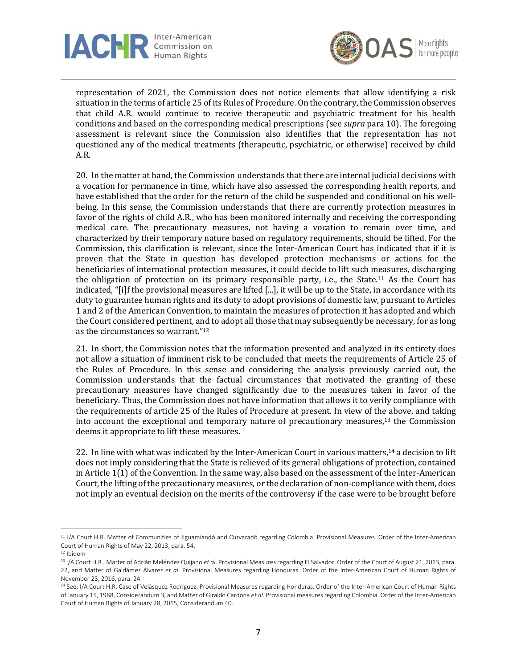



representation of 2021, the Commission does not notice elements that allow identifying a risk situation in the terms of article 25 of its Rules of Procedure. On the contrary, the Commission observes that child A.R. would continue to receive therapeutic and psychiatric treatment for his health conditions and based on the corresponding medical prescriptions (see *supra* para 10). The foregoing assessment is relevant since the Commission also identifies that the representation has not questioned any of the medical treatments (therapeutic, psychiatric, or otherwise) received by child A.R.

20. In the matter at hand, the Commission understands that there are internal judicial decisions with a vocation for permanence in time, which have also assessed the corresponding health reports, and have established that the order for the return of the child be suspended and conditional on his wellbeing. In this sense, the Commission understands that there are currently protection measures in favor of the rights of child A.R., who has been monitored internally and receiving the corresponding medical care. The precautionary measures, not having a vocation to remain over time, and characterized by their temporary nature based on regulatory requirements, should be lifted. For the Commission, this clarification is relevant, since the Inter-American Court has indicated that if it is proven that the State in question has developed protection mechanisms or actions for the beneficiaries of international protection measures, it could decide to lift such measures, discharging the obligation of protection on its primary responsible party, i.e., the State.<sup>11</sup> As the Court has indicated, "[i]f the provisional measures are lifted [...], it will be up to the State, in accordance with its duty to guarantee human rights and its duty to adopt provisions of domestic law, pursuant to Articles 1 and 2 of the American Convention, to maintain the measures of protection it has adopted and which the Court considered pertinent, and to adopt all those that may subsequently be necessary, for as long as the circumstances so warrant." 12

21. In short, the Commission notes that the information presented and analyzed in its entirety does not allow a situation of imminent risk to be concluded that meets the requirements of Article 25 of the Rules of Procedure. In this sense and considering the analysis previously carried out, the Commission understands that the factual circumstances that motivated the granting of these precautionary measures have changed significantly due to the measures taken in favor of the beneficiary. Thus, the Commission does not have information that allows it to verify compliance with the requirements of article 25 of the Rules of Procedure at present. In view of the above, and taking into account the exceptional and temporary nature of precautionary measures, $13$  the Commission deems it appropriate to lift these measures.

22. In line with what was indicated by the Inter-American Court in various matters,<sup>14</sup> a decision to lift does not imply considering that the State is relieved of its general obligations of protection, contained in Article 1(1) of the Convention. In the same way, also based on the assessment of the Inter-American Court, the lifting of the precautionary measures, or the declaration of non-compliance with them, does not imply an eventual decision on the merits of the controversy if the case were to be brought before

<sup>&</sup>lt;sup>11</sup> I/A Court H.R. Matter of Communities of Jiguamiandó and Curvaradó regarding Colombia. Provisional Measures. Order of the Inter-American Court of Human Rights of May 22, 2013, para. 54.

<sup>12</sup> Ibidem

<sup>13</sup> I/A Court H.R., Matter of Adrián Meléndez Quijano *et al*. Provisional Measures regarding El Salvador. Order of the Court of August 21, 2013, para. 22, and Matter of Galdámez Álvarez *et al*. Provisional Measures regarding Honduras. Order of the Inter-American Court of Human Rights of November 23, 2016, para. 24

<sup>&</sup>lt;sup>14</sup> See: I/A Court H.R. Case of Velásquez Rodríguez. Provisional Measures regarding Honduras. Order of the Inter-American Court of Human Rights of January 15, 1988, Considerandum 3, and Matter of Giraldo Cardona *et al*. Provisional measures regarding Colombia. Order of the Inter-American Court of Human Rights of January 28, 2015, Considerandum 40.